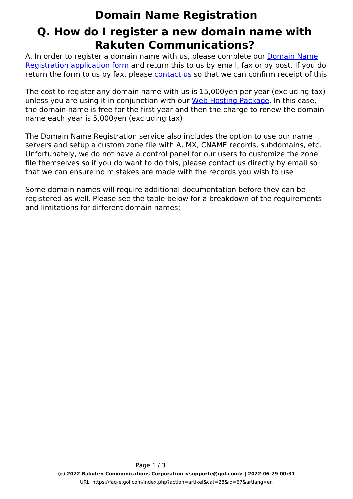## **Domain Name Registration Q. How do I register a new domain name with Rakuten Communications?**

A. In order to register a domain name with us, please complete our [Domain Name](http://www.gol.com/en/biz/hosting/domain/Domain_Reg_Form.pdf) [Registration application form](http://www.gol.com/en/biz/hosting/domain/Domain_Reg_Form.pdf) and return this to us by email, fax or by post. If you do return the form to us by fax, please [contact us](index.php?action=artikel&cat=73&id=17&artlang=en) so that we can confirm receipt of this

The cost to register any domain name with us is 15,000yen per year (excluding tax) unless you are using it in conjunction with our [Web Hosting Package](http://www.gol.com/en/biz/hosting/whp/spec.html). In this case, the domain name is free for the first year and then the charge to renew the domain name each year is 5,000yen (excluding tax)

The Domain Name Registration service also includes the option to use our name servers and setup a custom zone file with A, MX, CNAME records, subdomains, etc. Unfortunately, we do not have a control panel for our users to customize the zone file themselves so if you do want to do this, please contact us directly by email so that we can ensure no mistakes are made with the records you wish to use

Some domain names will require additional documentation before they can be registered as well. Please see the table below for a breakdown of the requirements and limitations for different domain names;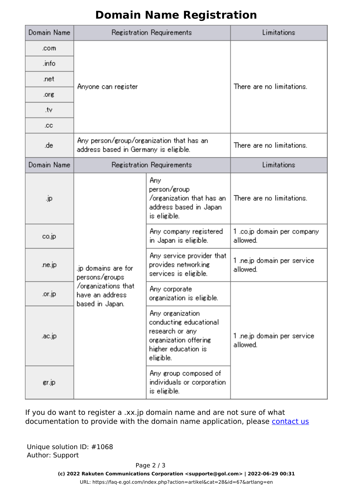## **Domain Name Registration**

| Domain Name | Registration Requirements                                                                           |                                                                                                                            | Limitations                              |
|-------------|-----------------------------------------------------------------------------------------------------|----------------------------------------------------------------------------------------------------------------------------|------------------------------------------|
| .com        |                                                                                                     |                                                                                                                            |                                          |
| .info       | Anyone can register                                                                                 |                                                                                                                            | There are no limitations.                |
| .net        |                                                                                                     |                                                                                                                            |                                          |
| .org        |                                                                                                     |                                                                                                                            |                                          |
| .tv         |                                                                                                     |                                                                                                                            |                                          |
| .cc         |                                                                                                     |                                                                                                                            |                                          |
| .de         | Any person/group/organization that has an<br>address based in Germany is eligible.                  |                                                                                                                            | There are no limitations.                |
| Domain Name | Registration Requirements                                                                           |                                                                                                                            | Limitations                              |
| .jp         | .jp domains are for<br>persons/groups<br>/organizations_that<br>have an address.<br>based in Japan. | Any.<br>person/group<br>/organization that has an<br>address based in Japan.<br>is eligible.                               | There are no limitations.                |
| co.jp       |                                                                                                     | Any company registered<br>in Japan is eligible.                                                                            | 1 .co.jp domain per company<br>allowed.  |
| .ne.jp      |                                                                                                     | Any service provider that<br>provides networking<br>services is eligible.                                                  | 1 .ne.jp domain per service.<br>allowed. |
| .or.jp      |                                                                                                     | Any corporate<br>organization is eligible.                                                                                 | 1 .ne.jp domain per service.<br>allowed. |
| .ac.jp      |                                                                                                     | Any organization<br>conducting educational<br>research or any<br>organization offering<br>higher education is<br>eligible. |                                          |
| gr.jp       |                                                                                                     | Any group composed of<br>individuals or corporation<br>is eligible.                                                        |                                          |

If you do want to register a .xx.jp domain name and are not sure of what documentation to provide with the domain name application, please [contact us](index.php?action=artikel&cat=73&id=17&artlang=en)

Unique solution ID: #1068 Author: Support

Page 2 / 3

**(c) 2022 Rakuten Communications Corporation <supporte@gol.com> | 2022-06-29 00:31**

[URL: https://faq-e.gol.com/index.php?action=artikel&cat=28&id=67&artlang=en](https://faq-e.gol.com/index.php?action=artikel&cat=28&id=67&artlang=en)